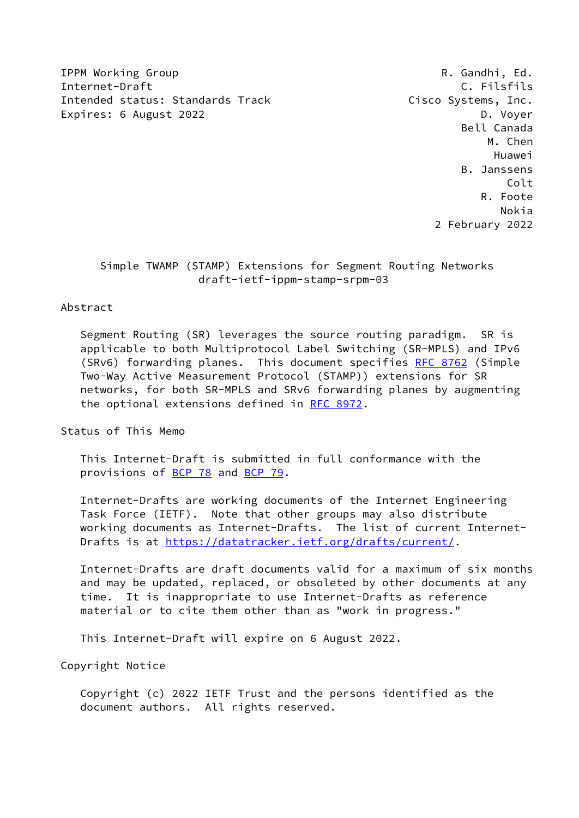**IPPM Working Group Community Community Community Community Community Community Community Community Community Community Community Community Community Community Community Community Community Community Community Community Co** Internet-Draft **C. Filsfils** Intended status: Standards Track Cisco Systems, Inc. Expires: 6 August 2022 **D. Voyer** D. Voyer

 Bell Canada M. Chen Huawei B. Janssens Colt R. Foote Nokia 2 February 2022

 Simple TWAMP (STAMP) Extensions for Segment Routing Networks draft-ietf-ippm-stamp-srpm-03

## Abstract

 Segment Routing (SR) leverages the source routing paradigm. SR is applicable to both Multiprotocol Label Switching (SR-MPLS) and IPv6 (SRv6) forwarding planes. This document specifies [RFC 8762](https://datatracker.ietf.org/doc/pdf/rfc8762) (Simple Two-Way Active Measurement Protocol (STAMP)) extensions for SR networks, for both SR-MPLS and SRv6 forwarding planes by augmenting the optional extensions defined in [RFC 8972.](https://datatracker.ietf.org/doc/pdf/rfc8972)

Status of This Memo

 This Internet-Draft is submitted in full conformance with the provisions of [BCP 78](https://datatracker.ietf.org/doc/pdf/bcp78) and [BCP 79](https://datatracker.ietf.org/doc/pdf/bcp79).

 Internet-Drafts are working documents of the Internet Engineering Task Force (IETF). Note that other groups may also distribute working documents as Internet-Drafts. The list of current Internet- Drafts is at<https://datatracker.ietf.org/drafts/current/>.

 Internet-Drafts are draft documents valid for a maximum of six months and may be updated, replaced, or obsoleted by other documents at any time. It is inappropriate to use Internet-Drafts as reference material or to cite them other than as "work in progress."

This Internet-Draft will expire on 6 August 2022.

Copyright Notice

 Copyright (c) 2022 IETF Trust and the persons identified as the document authors. All rights reserved.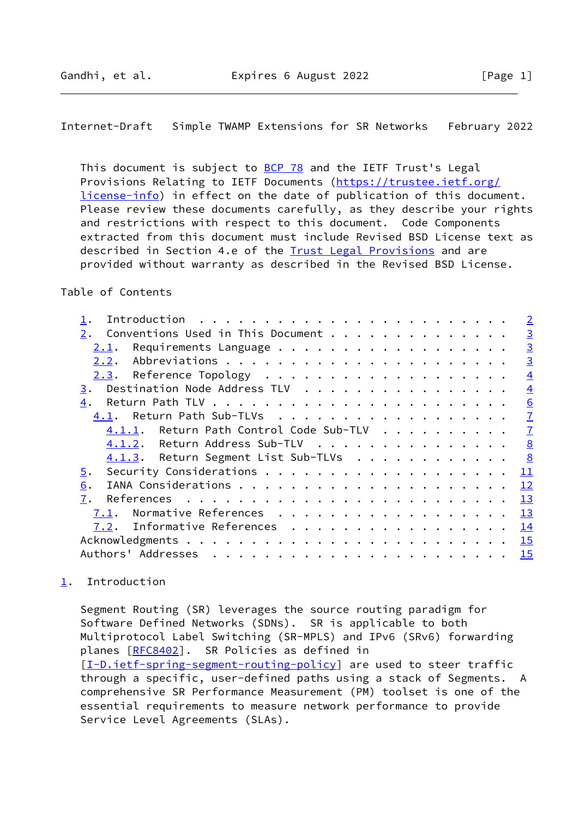<span id="page-1-1"></span>This document is subject to [BCP 78](https://datatracker.ietf.org/doc/pdf/bcp78) and the IETF Trust's Legal Provisions Relating to IETF Documents ([https://trustee.ietf.org/](https://trustee.ietf.org/license-info) [license-info](https://trustee.ietf.org/license-info)) in effect on the date of publication of this document. Please review these documents carefully, as they describe your rights and restrictions with respect to this document. Code Components extracted from this document must include Revised BSD License text as described in Section 4.e of the [Trust Legal Provisions](https://trustee.ietf.org/license-info) and are provided without warranty as described in the Revised BSD License.

## Table of Contents

|                                         | $\overline{2}$ |
|-----------------------------------------|----------------|
| Conventions Used in This Document       | $\overline{3}$ |
| Requirements Language<br>2.1.           | $\overline{3}$ |
| 2.2.                                    | $\overline{3}$ |
| 2.3.                                    | $\overline{4}$ |
| Destination Node Address TLV<br>3.      | $\overline{4}$ |
| 4.                                      | 6              |
| 4.1. Return Path Sub-TLVs               | $\overline{1}$ |
| 4.1.1. Return Path Control Code Sub-TLV | $\overline{1}$ |
| 4.1.2. Return Address Sub-TLV           | 8              |
| 4.1.3. Return Segment List Sub-TLVs     | 8              |
| 5.                                      | 11             |
| <u>6</u> .                              | 12             |
| 7.                                      | <b>13</b>      |
| Normative References<br>7.1.            | 13             |
| Informative References<br>7.2.          | 14             |
|                                         | 15             |
| Authors' Addresses                      | <b>15</b>      |
|                                         |                |

# <span id="page-1-0"></span>[1](#page-1-0). Introduction

 Segment Routing (SR) leverages the source routing paradigm for Software Defined Networks (SDNs). SR is applicable to both Multiprotocol Label Switching (SR-MPLS) and IPv6 (SRv6) forwarding planes [\[RFC8402](https://datatracker.ietf.org/doc/pdf/rfc8402)]. SR Policies as defined in [\[I-D.ietf-spring-segment-routing-policy](#page-15-2)] are used to steer traffic through a specific, user-defined paths using a stack of Segments. A comprehensive SR Performance Measurement (PM) toolset is one of the essential requirements to measure network performance to provide Service Level Agreements (SLAs).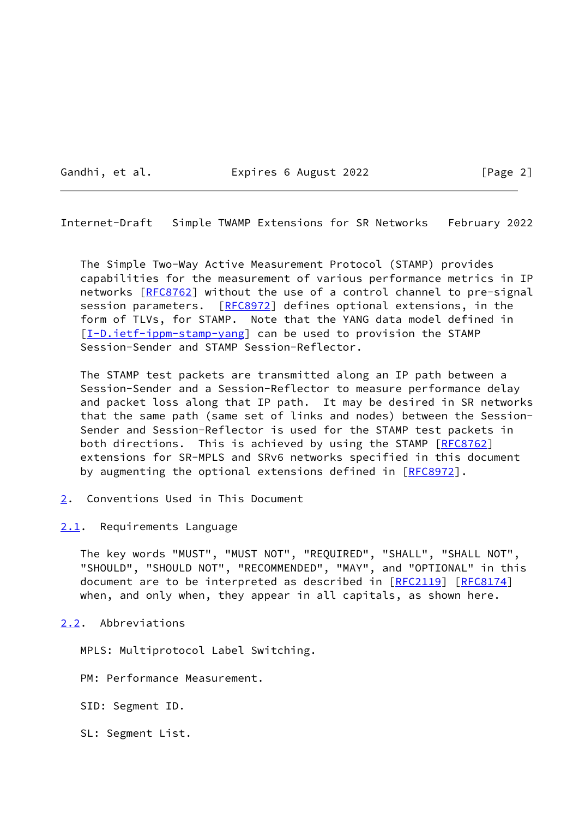Gandhi, et al. **Expires 6 August 2022** [Page 2]

<span id="page-2-1"></span>Internet-Draft Simple TWAMP Extensions for SR Networks February 2022

 The Simple Two-Way Active Measurement Protocol (STAMP) provides capabilities for the measurement of various performance metrics in IP networks [\[RFC8762](https://datatracker.ietf.org/doc/pdf/rfc8762)] without the use of a control channel to pre-signal session parameters. [\[RFC8972](https://datatracker.ietf.org/doc/pdf/rfc8972)] defines optional extensions, in the form of TLVs, for STAMP. Note that the YANG data model defined in [\[I-D.ietf-ippm-stamp-yang](#page-16-0)] can be used to provision the STAMP Session-Sender and STAMP Session-Reflector.

 The STAMP test packets are transmitted along an IP path between a Session-Sender and a Session-Reflector to measure performance delay and packet loss along that IP path. It may be desired in SR networks that the same path (same set of links and nodes) between the Session- Sender and Session-Reflector is used for the STAMP test packets in both directions. This is achieved by using the STAMP [[RFC8762](https://datatracker.ietf.org/doc/pdf/rfc8762)] extensions for SR-MPLS and SRv6 networks specified in this document by augmenting the optional extensions defined in [\[RFC8972](https://datatracker.ietf.org/doc/pdf/rfc8972)].

<span id="page-2-0"></span>[2](#page-2-0). Conventions Used in This Document

<span id="page-2-2"></span>[2.1](#page-2-2). Requirements Language

 The key words "MUST", "MUST NOT", "REQUIRED", "SHALL", "SHALL NOT", "SHOULD", "SHOULD NOT", "RECOMMENDED", "MAY", and "OPTIONAL" in this document are to be interpreted as described in [\[RFC2119](https://datatracker.ietf.org/doc/pdf/rfc2119)] [\[RFC8174](https://datatracker.ietf.org/doc/pdf/rfc8174)] when, and only when, they appear in all capitals, as shown here.

## <span id="page-2-3"></span>[2.2](#page-2-3). Abbreviations

MPLS: Multiprotocol Label Switching.

PM: Performance Measurement.

SID: Segment ID.

SL: Segment List.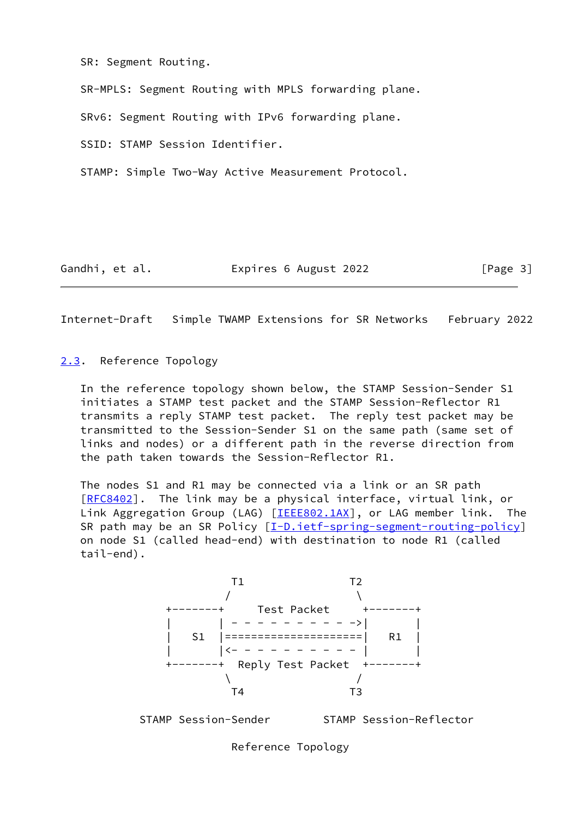SR: Segment Routing.

SR-MPLS: Segment Routing with MPLS forwarding plane.

SRv6: Segment Routing with IPv6 forwarding plane.

SSID: STAMP Session Identifier.

STAMP: Simple Two-Way Active Measurement Protocol.

Gandhi, et al. **Expires 6 August 2022** [Page 3]

<span id="page-3-1"></span>Internet-Draft Simple TWAMP Extensions for SR Networks February 2022

#### <span id="page-3-0"></span>[2.3](#page-3-0). Reference Topology

 In the reference topology shown below, the STAMP Session-Sender S1 initiates a STAMP test packet and the STAMP Session-Reflector R1 transmits a reply STAMP test packet. The reply test packet may be transmitted to the Session-Sender S1 on the same path (same set of links and nodes) or a different path in the reverse direction from the path taken towards the Session-Reflector R1.

 The nodes S1 and R1 may be connected via a link or an SR path [\[RFC8402](https://datatracker.ietf.org/doc/pdf/rfc8402)]. The link may be a physical interface, virtual link, or Link Aggregation Group (LAG) [\[IEEE802.1AX](#page-16-1)], or LAG member link. The SR path may be an SR Policy  $[I-D.ietf-spring-segment-routine-policy]$  on node S1 (called head-end) with destination to node R1 (called tail-end).



STAMP Session-Sender STAMP Session-Reflector

Reference Topology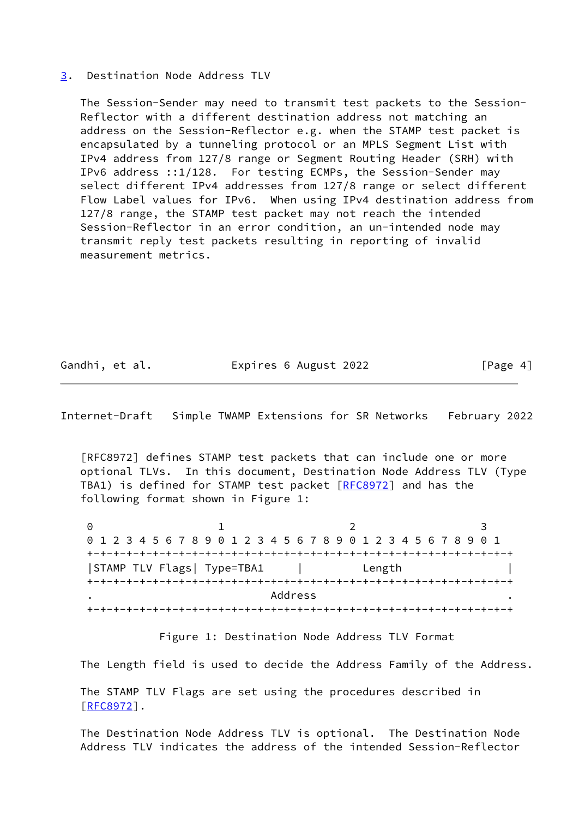## <span id="page-4-0"></span>[3](#page-4-0). Destination Node Address TLV

 The Session-Sender may need to transmit test packets to the Session- Reflector with a different destination address not matching an address on the Session-Reflector e.g. when the STAMP test packet is encapsulated by a tunneling protocol or an MPLS Segment List with IPv4 address from 127/8 range or Segment Routing Header (SRH) with IPv6 address ::1/128. For testing ECMPs, the Session-Sender may select different IPv4 addresses from 127/8 range or select different Flow Label values for IPv6. When using IPv4 destination address from 127/8 range, the STAMP test packet may not reach the intended Session-Reflector in an error condition, an un-intended node may transmit reply test packets resulting in reporting of invalid measurement metrics.

Gandhi, et al. **Expires 6 August 2022** [Page 4]

Internet-Draft Simple TWAMP Extensions for SR Networks February 2022

 [RFC8972] defines STAMP test packets that can include one or more optional TLVs. In this document, Destination Node Address TLV (Type TBA1) is defined for STAMP test packet [\[RFC8972](https://datatracker.ietf.org/doc/pdf/rfc8972)] and has the following format shown in Figure 1:

0 1 2 3 0 1 2 3 4 5 6 7 8 9 0 1 2 3 4 5 6 7 8 9 0 1 2 3 4 5 6 7 8 9 0 1 +-+-+-+-+-+-+-+-+-+-+-+-+-+-+-+-+-+-+-+-+-+-+-+-+-+-+-+-+-+-+-+-+ |STAMP TLV Flags| Type=TBA1 | Length | +-+-+-+-+-+-+-+-+-+-+-+-+-+-+-+-+-+-+-+-+-+-+-+-+-+-+-+-+-+-+-+-+ . The contract of the contract of the Address  $\sim$  . +-+-+-+-+-+-+-+-+-+-+-+-+-+-+-+-+-+-+-+-+-+-+-+-+-+-+-+-+-+-+-+-+

Figure 1: Destination Node Address TLV Format

The Length field is used to decide the Address Family of the Address.

 The STAMP TLV Flags are set using the procedures described in [\[RFC8972](https://datatracker.ietf.org/doc/pdf/rfc8972)].

 The Destination Node Address TLV is optional. The Destination Node Address TLV indicates the address of the intended Session-Reflector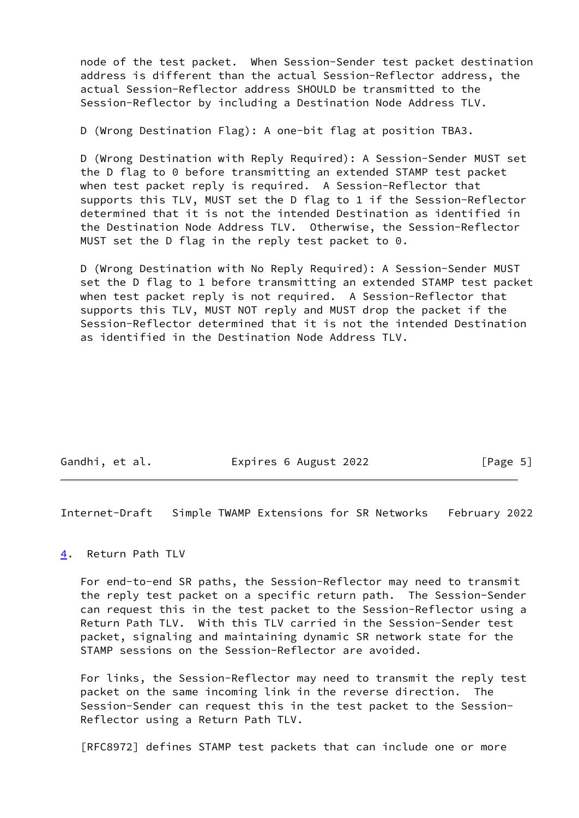node of the test packet. When Session-Sender test packet destination address is different than the actual Session-Reflector address, the actual Session-Reflector address SHOULD be transmitted to the Session-Reflector by including a Destination Node Address TLV.

D (Wrong Destination Flag): A one-bit flag at position TBA3.

 D (Wrong Destination with Reply Required): A Session-Sender MUST set the D flag to 0 before transmitting an extended STAMP test packet when test packet reply is required. A Session-Reflector that supports this TLV, MUST set the D flag to 1 if the Session-Reflector determined that it is not the intended Destination as identified in the Destination Node Address TLV. Otherwise, the Session-Reflector MUST set the D flag in the reply test packet to 0.

 D (Wrong Destination with No Reply Required): A Session-Sender MUST set the D flag to 1 before transmitting an extended STAMP test packet when test packet reply is not required. A Session-Reflector that supports this TLV, MUST NOT reply and MUST drop the packet if the Session-Reflector determined that it is not the intended Destination as identified in the Destination Node Address TLV.

| Expires 6 August 2022<br>Gandhi, et al. | [Page 5] |
|-----------------------------------------|----------|
|-----------------------------------------|----------|

<span id="page-5-1"></span>Internet-Draft Simple TWAMP Extensions for SR Networks February 2022

<span id="page-5-0"></span>[4](#page-5-0). Return Path TLV

 For end-to-end SR paths, the Session-Reflector may need to transmit the reply test packet on a specific return path. The Session-Sender can request this in the test packet to the Session-Reflector using a Return Path TLV. With this TLV carried in the Session-Sender test packet, signaling and maintaining dynamic SR network state for the STAMP sessions on the Session-Reflector are avoided.

 For links, the Session-Reflector may need to transmit the reply test packet on the same incoming link in the reverse direction. The Session-Sender can request this in the test packet to the Session- Reflector using a Return Path TLV.

[RFC8972] defines STAMP test packets that can include one or more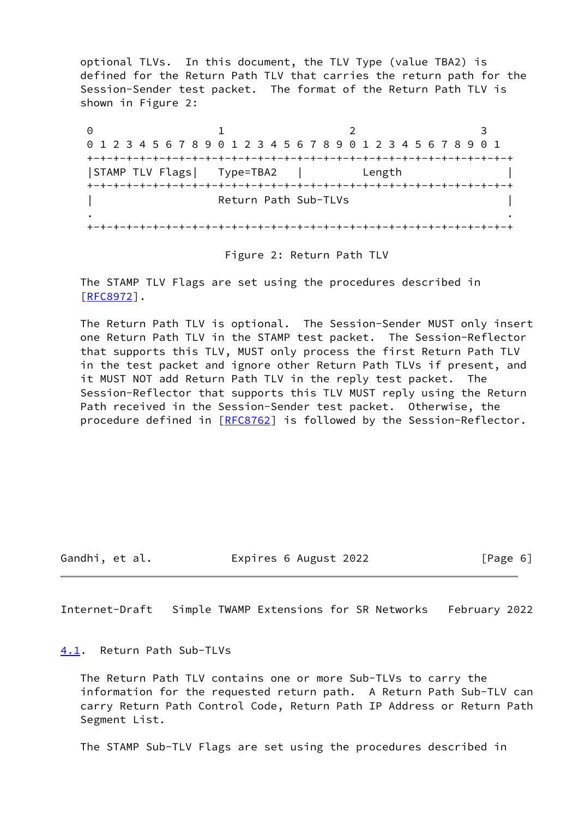optional TLVs. In this document, the TLV Type (value TBA2) is defined for the Return Path TLV that carries the return path for the Session-Sender test packet. The format of the Return Path TLV is shown in Figure 2:

0 1 2 3 0 1 2 3 4 5 6 7 8 9 0 1 2 3 4 5 6 7 8 9 0 1 2 3 4 5 6 7 8 9 0 1 +-+-+-+-+-+-+-+-+-+-+-+-+-+-+-+-+-+-+-+-+-+-+-+-+-+-+-+-+-+-+-+-+ |STAMP TLV Flags| Type=TBA2 | Length | +-+-+-+-+-+-+-+-+-+-+-+-+-+-+-+-+-+-+-+-+-+-+-+-+-+-+-+-+-+-+-+-+ Return Path Sub-TLVs | . . +-+-+-+-+-+-+-+-+-+-+-+-+-+-+-+-+-+-+-+-+-+-+-+-+-+-+-+-+-+-+-+-+

Figure 2: Return Path TLV

 The STAMP TLV Flags are set using the procedures described in [\[RFC8972](https://datatracker.ietf.org/doc/pdf/rfc8972)].

 The Return Path TLV is optional. The Session-Sender MUST only insert one Return Path TLV in the STAMP test packet. The Session-Reflector that supports this TLV, MUST only process the first Return Path TLV in the test packet and ignore other Return Path TLVs if present, and it MUST NOT add Return Path TLV in the reply test packet. The Session-Reflector that supports this TLV MUST reply using the Return Path received in the Session-Sender test packet. Otherwise, the procedure defined in [\[RFC8762](https://datatracker.ietf.org/doc/pdf/rfc8762)] is followed by the Session-Reflector.

Gandhi, et al. Expires 6 August 2022 [Page 6]

<span id="page-6-1"></span>Internet-Draft Simple TWAMP Extensions for SR Networks February 2022

<span id="page-6-0"></span>[4.1](#page-6-0). Return Path Sub-TLVs

 The Return Path TLV contains one or more Sub-TLVs to carry the information for the requested return path. A Return Path Sub-TLV can carry Return Path Control Code, Return Path IP Address or Return Path Segment List.

The STAMP Sub-TLV Flags are set using the procedures described in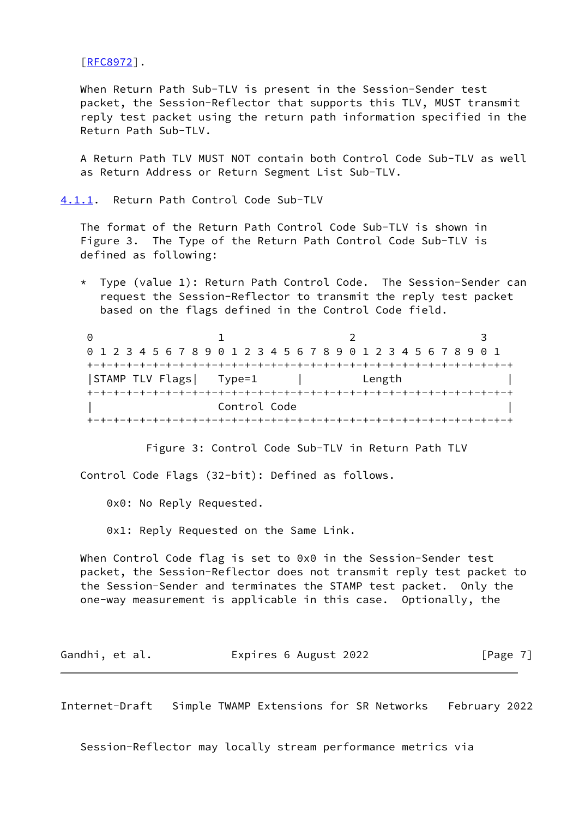[\[RFC8972](https://datatracker.ietf.org/doc/pdf/rfc8972)].

 When Return Path Sub-TLV is present in the Session-Sender test packet, the Session-Reflector that supports this TLV, MUST transmit reply test packet using the return path information specified in the Return Path Sub-TLV.

 A Return Path TLV MUST NOT contain both Control Code Sub-TLV as well as Return Address or Return Segment List Sub-TLV.

<span id="page-7-0"></span>[4.1.1](#page-7-0). Return Path Control Code Sub-TLV

 The format of the Return Path Control Code Sub-TLV is shown in Figure 3. The Type of the Return Path Control Code Sub-TLV is defined as following:

 \* Type (value 1): Return Path Control Code. The Session-Sender can request the Session-Reflector to transmit the reply test packet based on the flags defined in the Control Code field.

| 0 1 2 3 4 5 6 7 8 9 0 1 2 3 4 5 6 7 8 9 0 1 2 3 4 5 6 7 8 9 0 1 |                                |        |  |
|-----------------------------------------------------------------|--------------------------------|--------|--|
|                                                                 |                                |        |  |
| STAMP TLV Flags   Type=1                                        |                                | Length |  |
|                                                                 | +-+-+-+-+-+-+-+-+-+-+-+        |        |  |
|                                                                 | Control Code                   |        |  |
|                                                                 | -+-+-+-+-+-+-+-+-+-+-+-+-+-+-+ |        |  |

Figure 3: Control Code Sub-TLV in Return Path TLV

Control Code Flags (32-bit): Defined as follows.

0x0: No Reply Requested.

0x1: Reply Requested on the Same Link.

 When Control Code flag is set to 0x0 in the Session-Sender test packet, the Session-Reflector does not transmit reply test packet to the Session-Sender and terminates the STAMP test packet. Only the one-way measurement is applicable in this case. Optionally, the

| Expires 6 August 2022<br>Gandhi, et al. | [Page 7] |
|-----------------------------------------|----------|
|-----------------------------------------|----------|

<span id="page-7-1"></span>Internet-Draft Simple TWAMP Extensions for SR Networks February 2022

Session-Reflector may locally stream performance metrics via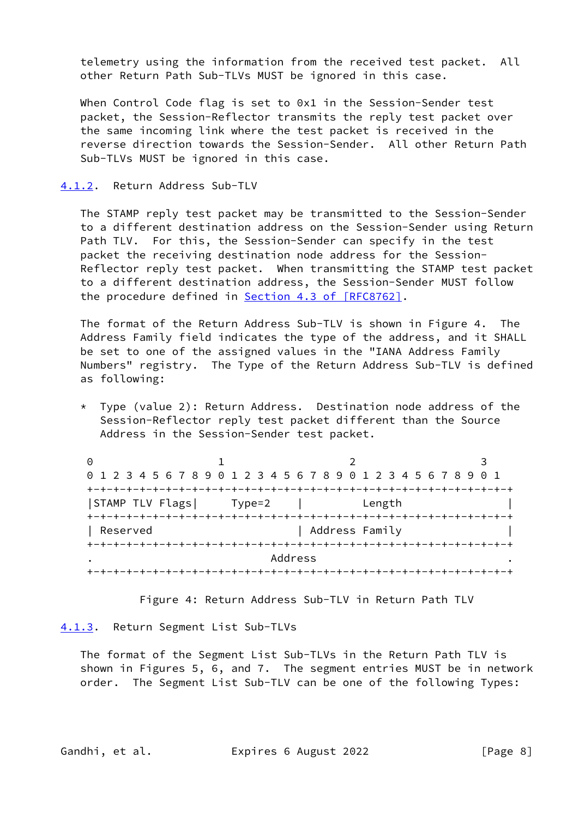telemetry using the information from the received test packet. All other Return Path Sub-TLVs MUST be ignored in this case.

 When Control Code flag is set to 0x1 in the Session-Sender test packet, the Session-Reflector transmits the reply test packet over the same incoming link where the test packet is received in the reverse direction towards the Session-Sender. All other Return Path Sub-TLVs MUST be ignored in this case.

#### <span id="page-8-0"></span>[4.1.2](#page-8-0). Return Address Sub-TLV

 The STAMP reply test packet may be transmitted to the Session-Sender to a different destination address on the Session-Sender using Return Path TLV. For this, the Session-Sender can specify in the test packet the receiving destination node address for the Session- Reflector reply test packet. When transmitting the STAMP test packet to a different destination address, the Session-Sender MUST follow the procedure defined in Section [4.3 of \[RFC8762\]](https://datatracker.ietf.org/doc/pdf/rfc8762#section-4.3).

 The format of the Return Address Sub-TLV is shown in Figure 4. The Address Family field indicates the type of the address, and it SHALL be set to one of the assigned values in the "IANA Address Family Numbers" registry. The Type of the Return Address Sub-TLV is defined as following:

 \* Type (value 2): Return Address. Destination node address of the Session-Reflector reply test packet different than the Source Address in the Session-Sender test packet.

| 0 1 2 3 4 5 6 7 8 9 0 1 2 3 4 5 6 7 8 9 0 1 2 3 4 5 6 7 8 9 0 1 |        |                |  |
|-----------------------------------------------------------------|--------|----------------|--|
|                                                                 |        |                |  |
| STAMP TLV Flags                                                 | Type=2 | Length         |  |
|                                                                 |        |                |  |
| Reserved                                                        |        | Address Family |  |
|                                                                 |        |                |  |
|                                                                 |        | Address        |  |
|                                                                 |        |                |  |

Figure 4: Return Address Sub-TLV in Return Path TLV

#### <span id="page-8-1"></span>[4.1.3](#page-8-1). Return Segment List Sub-TLVs

 The format of the Segment List Sub-TLVs in the Return Path TLV is shown in Figures 5, 6, and 7. The segment entries MUST be in network order. The Segment List Sub-TLV can be one of the following Types:

Gandhi, et al. **Expires 6 August 2022** [Page 8]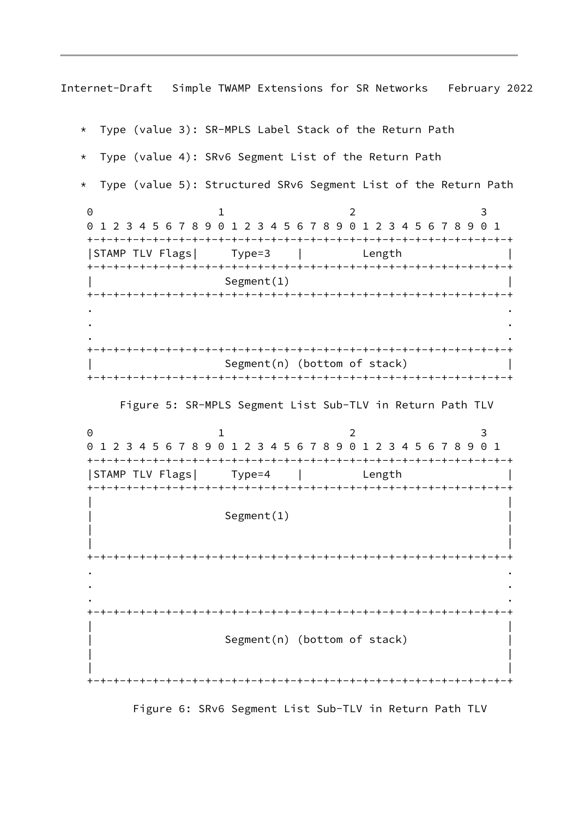\* Type (value 3): SR-MPLS Label Stack of the Return Path \* Type (value 4): SRv6 Segment List of the Return Path Type (value 5): Structured SRv6 Segment List of the Return Path 0 1 2 3 0 1 2 3 4 5 6 7 8 9 0 1 2 3 4 5 6 7 8 9 0 1 2 3 4 5 6 7 8 9 0 1 +-+-+-+-+-+-+-+-+-+-+-+-+-+-+-+-+-+-+-+-+-+-+-+-+-+-+-+-+-+-+-+-+ |STAMP TLV Flags| Type=3 | Length | +-+-+-+-+-+-+-+-+-+-+-+-+-+-+-+-+-+-+-+-+-+-+-+-+-+-+-+-+-+-+-+-+ Segment(1) +-+-+-+-+-+-+-+-+-+-+-+-+-+-+-+-+-+-+-+-+-+-+-+-+-+-+-+-+-+-+-+-+ . . . . . . +-+-+-+-+-+-+-+-+-+-+-+-+-+-+-+-+-+-+-+-+-+-+-+-+-+-+-+-+-+-+-+-+  $Segment(n)$  (bottom of stack) +-+-+-+-+-+-+-+-+-+-+-+-+-+-+-+-+-+-+-+-+-+-+-+-+-+-+-+-+-+-+-+-+ Figure 5: SR-MPLS Segment List Sub-TLV in Return Path TLV 0 1 2 3 0 1 2 3 4 5 6 7 8 9 0 1 2 3 4 5 6 7 8 9 0 1 2 3 4 5 6 7 8 9 0 1 +-+-+-+-+-+-+-+-+-+-+-+-+-+-+-+-+-+-+-+-+-+-+-+-+-+-+-+-+-+-+-+-+ |STAMP TLV Flags| Type=4 | Length | +-+-+-+-+-+-+-+-+-+-+-+-+-+-+-+-+-+-+-+-+-+-+-+-+-+-+-+-+-+-+-+-+ | | Segment(1) | | | | +-+-+-+-+-+-+-+-+-+-+-+-+-+-+-+-+-+-+-+-+-+-+-+-+-+-+-+-+-+-+-+-+ . . . . . . +-+-+-+-+-+-+-+-+-+-+-+-+-+-+-+-+-+-+-+-+-+-+-+-+-+-+-+-+-+-+-+-+ | | Segment(n) (bottom of stack) | | | | +-+-+-+-+-+-+-+-+-+-+-+-+-+-+-+-+-+-+-+-+-+-+-+-+-+-+-+-+-+-+-+-+

Figure 6: SRv6 Segment List Sub-TLV in Return Path TLV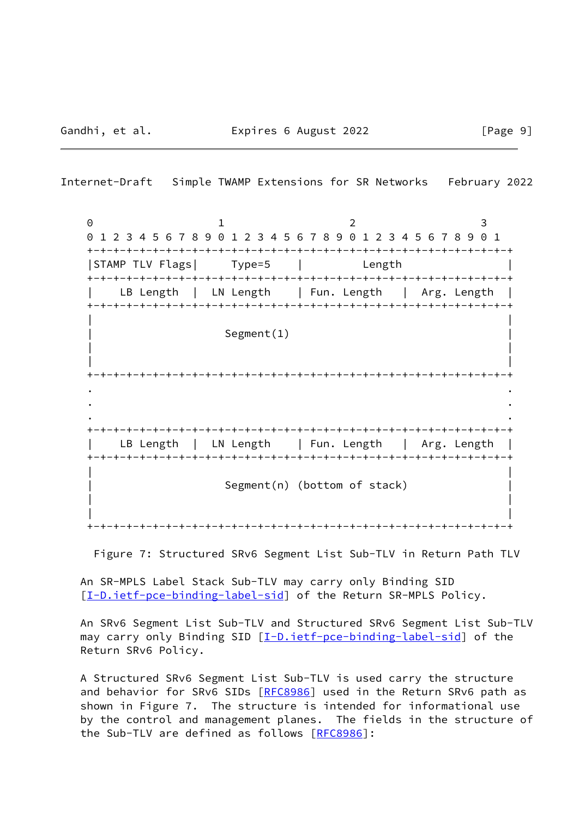Internet-Draft Simple TWAMP Extensions for SR Networks February 2022 0 1 2 3 0 1 2 3 4 5 6 7 8 9 0 1 2 3 4 5 6 7 8 9 0 1 2 3 4 5 6 7 8 9 0 1 +-+-+-+-+-+-+-+-+-+-+-+-+-+-+-+-+-+-+-+-+-+-+-+-+-+-+-+-+-+-+-+-+ |STAMP TLV Flags| Type=5 | Length | +-+-+-+-+-+-+-+-+-+-+-+-+-+-+-+-+-+-+-+-+-+-+-+-+-+-+-+-+-+-+-+-+ LB Length | LN Length | Fun. Length | Arg. Length | +-+-+-+-+-+-+-+-+-+-+-+-+-+-+-+-+-+-+-+-+-+-+-+-+-+-+-+-+-+-+-+-+ | | Segment(1) | | | | +-+-+-+-+-+-+-+-+-+-+-+-+-+-+-+-+-+-+-+-+-+-+-+-+-+-+-+-+-+-+-+-+ . . . . . . +-+-+-+-+-+-+-+-+-+-+-+-+-+-+-+-+-+-+-+-+-+-+-+-+-+-+-+-+-+-+-+-+ LB Length | LN Length | Fun. Length | Arg. Length +-+-+-+-+-+-+-+-+-+-+-+-+-+-+-+-+-+-+-+-+-+-+-+-+-+-+-+-+-+-+-+-+ | | Segment(n) (bottom of stack) | | | |

+-+-+-+-+-+-+-+-+-+-+-+-+-+-+-+-+-+-+-+-+-+-+-+-+-+-+-+-+-+-+-+-+

Figure 7: Structured SRv6 Segment List Sub-TLV in Return Path TLV

 An SR-MPLS Label Stack Sub-TLV may carry only Binding SID [\[I-D.ietf-pce-binding-label-sid](#page-15-3)] of the Return SR-MPLS Policy.

 An SRv6 Segment List Sub-TLV and Structured SRv6 Segment List Sub-TLV may carry only Binding SID [[I-D.ietf-pce-binding-label-sid](#page-15-3)] of the Return SRv6 Policy.

 A Structured SRv6 Segment List Sub-TLV is used carry the structure and behavior for SRv6 SIDs [[RFC8986\]](https://datatracker.ietf.org/doc/pdf/rfc8986) used in the Return SRv6 path as shown in Figure 7. The structure is intended for informational use by the control and management planes. The fields in the structure of the Sub-TLV are defined as follows [[RFC8986\]](https://datatracker.ietf.org/doc/pdf/rfc8986):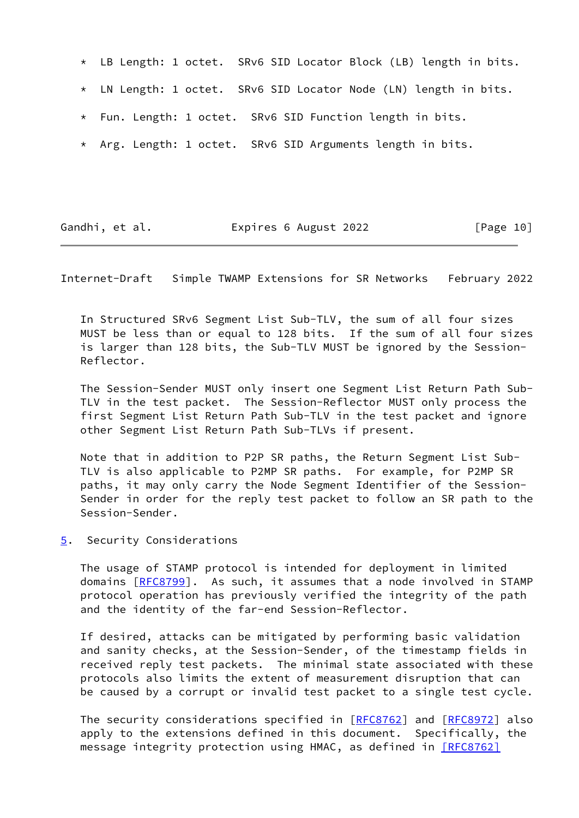- \* LB Length: 1 octet. SRv6 SID Locator Block (LB) length in bits.
- \* LN Length: 1 octet. SRv6 SID Locator Node (LN) length in bits.
- \* Fun. Length: 1 octet. SRv6 SID Function length in bits.
- \* Arg. Length: 1 octet. SRv6 SID Arguments length in bits.

<span id="page-11-1"></span>

| Gandhi, et al. | Expires 6 August 2022 | [Page 10] |
|----------------|-----------------------|-----------|
|----------------|-----------------------|-----------|

 In Structured SRv6 Segment List Sub-TLV, the sum of all four sizes MUST be less than or equal to 128 bits. If the sum of all four sizes is larger than 128 bits, the Sub-TLV MUST be ignored by the Session- Reflector.

 The Session-Sender MUST only insert one Segment List Return Path Sub- TLV in the test packet. The Session-Reflector MUST only process the first Segment List Return Path Sub-TLV in the test packet and ignore other Segment List Return Path Sub-TLVs if present.

 Note that in addition to P2P SR paths, the Return Segment List Sub- TLV is also applicable to P2MP SR paths. For example, for P2MP SR paths, it may only carry the Node Segment Identifier of the Session- Sender in order for the reply test packet to follow an SR path to the Session-Sender.

<span id="page-11-0"></span>[5](#page-11-0). Security Considerations

 The usage of STAMP protocol is intended for deployment in limited domains [\[RFC8799](https://datatracker.ietf.org/doc/pdf/rfc8799)]. As such, it assumes that a node involved in STAMP protocol operation has previously verified the integrity of the path and the identity of the far-end Session-Reflector.

 If desired, attacks can be mitigated by performing basic validation and sanity checks, at the Session-Sender, of the timestamp fields in received reply test packets. The minimal state associated with these protocols also limits the extent of measurement disruption that can be caused by a corrupt or invalid test packet to a single test cycle.

The security considerations specified in [\[RFC8762](https://datatracker.ietf.org/doc/pdf/rfc8762)] and [\[RFC8972](https://datatracker.ietf.org/doc/pdf/rfc8972)] also apply to the extensions defined in this document. Specifically, the message integrity protection using HMAC, as defined in [\[RFC8762\]](https://datatracker.ietf.org/doc/pdf/rfc8762#section-4.4)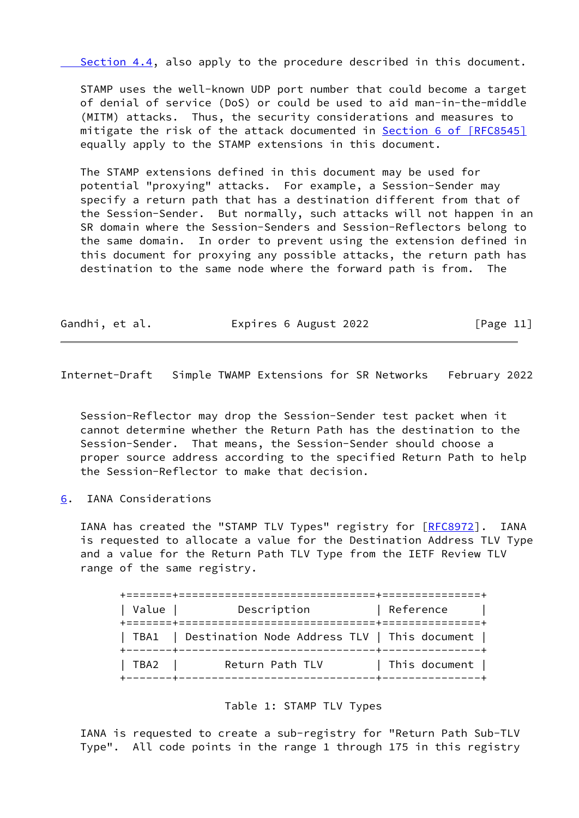Section 4.4, also apply to the procedure described in this document.

 STAMP uses the well-known UDP port number that could become a target of denial of service (DoS) or could be used to aid man-in-the-middle (MITM) attacks. Thus, the security considerations and measures to mitigate the risk of the attack documented in **Section [6 of \[RFC8545\]](https://datatracker.ietf.org/doc/pdf/rfc8545#section-6)** equally apply to the STAMP extensions in this document.

 The STAMP extensions defined in this document may be used for potential "proxying" attacks. For example, a Session-Sender may specify a return path that has a destination different from that of the Session-Sender. But normally, such attacks will not happen in an SR domain where the Session-Senders and Session-Reflectors belong to the same domain. In order to prevent using the extension defined in this document for proxying any possible attacks, the return path has destination to the same node where the forward path is from. The

| Gandhi, et al. | Expires 6 August 2022 | [Page 11] |
|----------------|-----------------------|-----------|
|----------------|-----------------------|-----------|

<span id="page-12-1"></span>Internet-Draft Simple TWAMP Extensions for SR Networks February 2022

 Session-Reflector may drop the Session-Sender test packet when it cannot determine whether the Return Path has the destination to the Session-Sender. That means, the Session-Sender should choose a proper source address according to the specified Return Path to help the Session-Reflector to make that decision.

<span id="page-12-0"></span>[6](#page-12-0). IANA Considerations

IANA has created the "STAMP TLV Types" registry for [\[RFC8972](https://datatracker.ietf.org/doc/pdf/rfc8972)]. IANA is requested to allocate a value for the Destination Address TLV Type and a value for the Return Path TLV Type from the IETF Review TLV range of the same registry.

| Value | Description                                         | Reference                          |
|-------|-----------------------------------------------------|------------------------------------|
|       | TBA1   Destination Node Address TLV   This document |                                    |
| TBA2  | Return Path TLV                                     | This document  <br>-------+------- |

Table 1: STAMP TLV Types

 IANA is requested to create a sub-registry for "Return Path Sub-TLV Type". All code points in the range 1 through 175 in this registry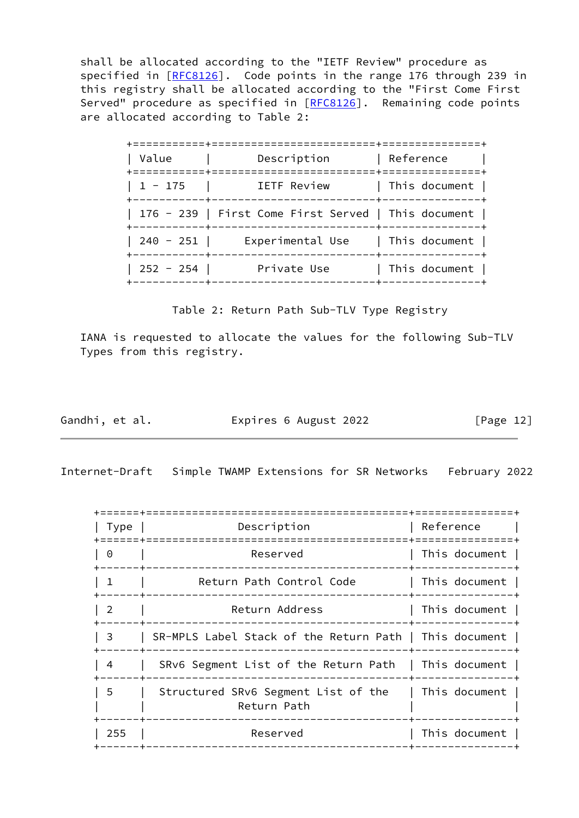shall be allocated according to the "IETF Review" procedure as specified in [\[RFC8126](https://datatracker.ietf.org/doc/pdf/rfc8126)]. Code points in the range 176 through 239 in this registry shall be allocated according to the "First Come First Served" procedure as specified in [[RFC8126](https://datatracker.ietf.org/doc/pdf/rfc8126)]. Remaining code points are allocated according to Table 2:

| Description      | Reference                                                                                                                                                                                                                                                                |
|------------------|--------------------------------------------------------------------------------------------------------------------------------------------------------------------------------------------------------------------------------------------------------------------------|
| IETF Review      | This document                                                                                                                                                                                                                                                            |
|                  |                                                                                                                                                                                                                                                                          |
| Experimental Use | $\mid$ This document $\mid$                                                                                                                                                                                                                                              |
| Private Use      | This document                                                                                                                                                                                                                                                            |
|                  | ====================+==============<br>--------------------+--------------<br>  176 - 239   First Come First Served   This document  <br>----------------------+---------------<br>  240 - 251  <br>+-----------+-----<br>--------------+---------------+<br>  252 - 254 |

Table 2: Return Path Sub-TLV Type Registry

 IANA is requested to allocate the values for the following Sub-TLV Types from this registry.

Gandhi, et al. **Expires 6 August 2022** [Page 12]

<span id="page-13-0"></span>Internet-Draft Simple TWAMP Extensions for SR Networks February 2022

| Type           | Description                                            | Reference     |
|----------------|--------------------------------------------------------|---------------|
| $\Theta$       | Reserved                                               | This document |
| 1              | Return Path Control Code                               | This document |
| $\overline{2}$ | Return Address                                         | This document |
| 3              | SR-MPLS Label Stack of the Return Path   This document |               |
| 4              | SRv6 Segment List of the Return Path                   | This document |
| 5              | Structured SRv6 Segment List of the<br>Return Path     | This document |
| 255            | Reserved                                               | This document |
|                |                                                        |               |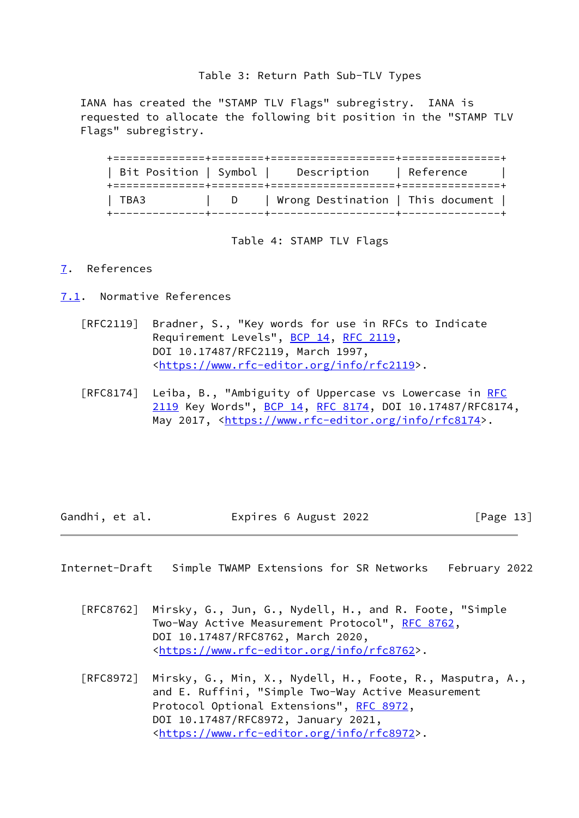## Table 3: Return Path Sub-TLV Types

 IANA has created the "STAMP TLV Flags" subregistry. IANA is requested to allocate the following bit position in the "STAMP TLV Flags" subregistry.

 +==============+========+===================+===============+ | Bit Position | Symbol | Description | Reference | +==============+========+===================+===============+ | TBA3 | D | Wrong Destination | This document | +--------------+--------+-------------------+---------------+

Table 4: STAMP TLV Flags

#### <span id="page-14-0"></span>[7](#page-14-0). References

- <span id="page-14-1"></span>[7.1](#page-14-1). Normative References
	- [RFC2119] Bradner, S., "Key words for use in RFCs to Indicate Requirement Levels", [BCP 14](https://datatracker.ietf.org/doc/pdf/bcp14), [RFC 2119](https://datatracker.ietf.org/doc/pdf/rfc2119), DOI 10.17487/RFC2119, March 1997, <[https://www.rfc-editor.org/info/rfc2119>](https://www.rfc-editor.org/info/rfc2119).
	- [RFC8174] Leiba, B., "Ambiguity of Uppercase vs Lowercase in [RFC](https://datatracker.ietf.org/doc/pdf/rfc2119) [2119](https://datatracker.ietf.org/doc/pdf/rfc2119) Key Words", [BCP 14](https://datatracker.ietf.org/doc/pdf/bcp14), [RFC 8174,](https://datatracker.ietf.org/doc/pdf/rfc8174) DOI 10.17487/RFC8174, May 2017, [<https://www.rfc-editor.org/info/rfc8174](https://www.rfc-editor.org/info/rfc8174)>.

Gandhi, et al. **Expires 6 August 2022** [Page 13]

<span id="page-14-2"></span>Internet-Draft Simple TWAMP Extensions for SR Networks February 2022

- [RFC8762] Mirsky, G., Jun, G., Nydell, H., and R. Foote, "Simple Two-Way Active Measurement Protocol", [RFC 8762](https://datatracker.ietf.org/doc/pdf/rfc8762), DOI 10.17487/RFC8762, March 2020, <[https://www.rfc-editor.org/info/rfc8762>](https://www.rfc-editor.org/info/rfc8762).
- [RFC8972] Mirsky, G., Min, X., Nydell, H., Foote, R., Masputra, A., and E. Ruffini, "Simple Two-Way Active Measurement Protocol Optional Extensions", [RFC 8972](https://datatracker.ietf.org/doc/pdf/rfc8972), DOI 10.17487/RFC8972, January 2021, <[https://www.rfc-editor.org/info/rfc8972>](https://www.rfc-editor.org/info/rfc8972).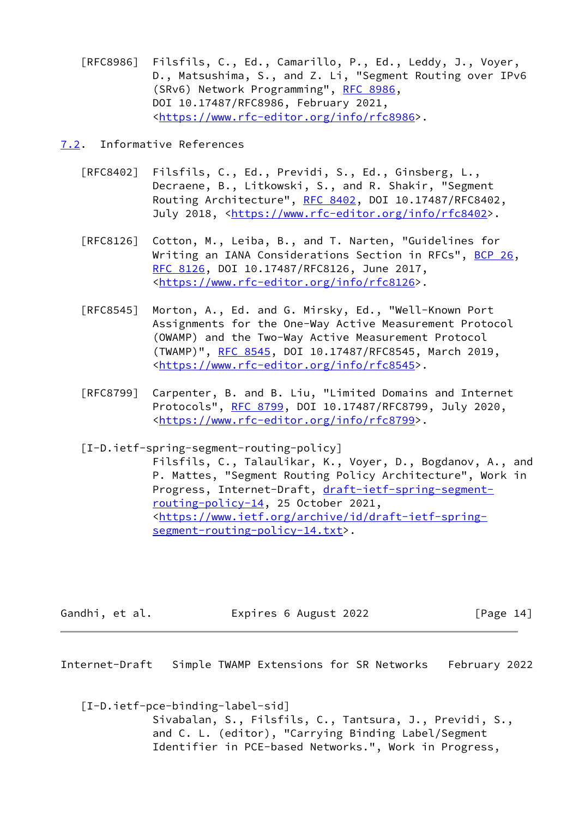[RFC8986] Filsfils, C., Ed., Camarillo, P., Ed., Leddy, J., Voyer, D., Matsushima, S., and Z. Li, "Segment Routing over IPv6 (SRv6) Network Programming", [RFC 8986](https://datatracker.ietf.org/doc/pdf/rfc8986), DOI 10.17487/RFC8986, February 2021, <[https://www.rfc-editor.org/info/rfc8986>](https://www.rfc-editor.org/info/rfc8986).

<span id="page-15-0"></span>[7.2](#page-15-0). Informative References

- [RFC8402] Filsfils, C., Ed., Previdi, S., Ed., Ginsberg, L., Decraene, B., Litkowski, S., and R. Shakir, "Segment Routing Architecture", [RFC 8402](https://datatracker.ietf.org/doc/pdf/rfc8402), DOI 10.17487/RFC8402, July 2018, <<https://www.rfc-editor.org/info/rfc8402>>.
- [RFC8126] Cotton, M., Leiba, B., and T. Narten, "Guidelines for Writing an IANA Considerations Section in RFCs", [BCP 26](https://datatracker.ietf.org/doc/pdf/bcp26), [RFC 8126,](https://datatracker.ietf.org/doc/pdf/rfc8126) DOI 10.17487/RFC8126, June 2017, <[https://www.rfc-editor.org/info/rfc8126>](https://www.rfc-editor.org/info/rfc8126).
- [RFC8545] Morton, A., Ed. and G. Mirsky, Ed., "Well-Known Port Assignments for the One-Way Active Measurement Protocol (OWAMP) and the Two-Way Active Measurement Protocol (TWAMP)", [RFC 8545](https://datatracker.ietf.org/doc/pdf/rfc8545), DOI 10.17487/RFC8545, March 2019, <[https://www.rfc-editor.org/info/rfc8545>](https://www.rfc-editor.org/info/rfc8545).
- [RFC8799] Carpenter, B. and B. Liu, "Limited Domains and Internet Protocols", [RFC 8799,](https://datatracker.ietf.org/doc/pdf/rfc8799) DOI 10.17487/RFC8799, July 2020, <[https://www.rfc-editor.org/info/rfc8799>](https://www.rfc-editor.org/info/rfc8799).
- <span id="page-15-2"></span> [I-D.ietf-spring-segment-routing-policy] Filsfils, C., Talaulikar, K., Voyer, D., Bogdanov, A., and P. Mattes, "Segment Routing Policy Architecture", Work in Progress, Internet-Draft, [draft-ietf-spring-segment](https://datatracker.ietf.org/doc/pdf/draft-ietf-spring-segment-routing-policy-14) [routing-policy-14,](https://datatracker.ietf.org/doc/pdf/draft-ietf-spring-segment-routing-policy-14) 25 October 2021, <[https://www.ietf.org/archive/id/draft-ietf-spring](https://www.ietf.org/archive/id/draft-ietf-spring-segment-routing-policy-14.txt) [segment-routing-policy-14.txt>](https://www.ietf.org/archive/id/draft-ietf-spring-segment-routing-policy-14.txt).

Gandhi, et al. **Expires 6 August 2022** [Page 14]

<span id="page-15-1"></span>Internet-Draft Simple TWAMP Extensions for SR Networks February 2022

<span id="page-15-3"></span> [I-D.ietf-pce-binding-label-sid] Sivabalan, S., Filsfils, C., Tantsura, J., Previdi, S., and C. L. (editor), "Carrying Binding Label/Segment Identifier in PCE-based Networks.", Work in Progress,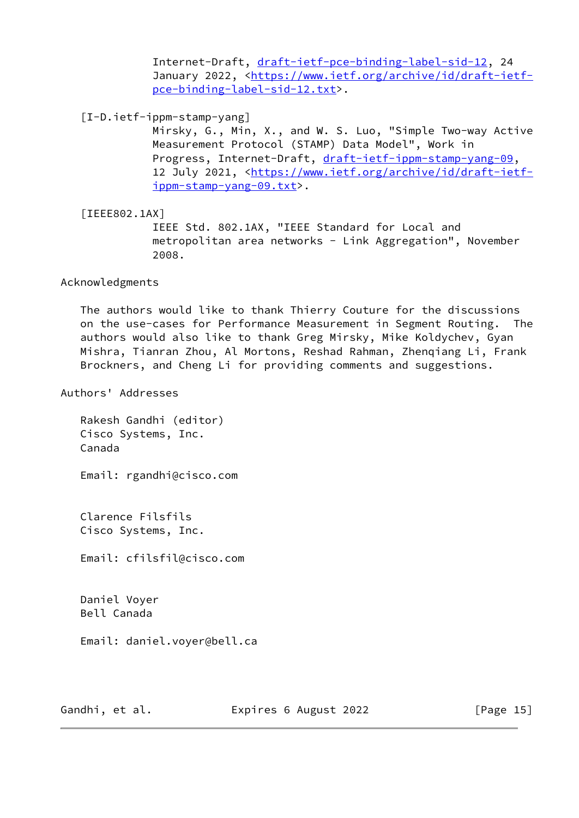Internet-Draft, [draft-ietf-pce-binding-label-sid-12](https://datatracker.ietf.org/doc/pdf/draft-ietf-pce-binding-label-sid-12), 24 January 2022, [<https://www.ietf.org/archive/id/draft-ietf](https://www.ietf.org/archive/id/draft-ietf-pce-binding-label-sid-12.txt) [pce-binding-label-sid-12.txt>](https://www.ietf.org/archive/id/draft-ietf-pce-binding-label-sid-12.txt).

<span id="page-16-0"></span>[I-D.ietf-ippm-stamp-yang]

 Mirsky, G., Min, X., and W. S. Luo, "Simple Two-way Active Measurement Protocol (STAMP) Data Model", Work in Progress, Internet-Draft, [draft-ietf-ippm-stamp-yang-09](https://datatracker.ietf.org/doc/pdf/draft-ietf-ippm-stamp-yang-09), 12 July 2021, [<https://www.ietf.org/archive/id/draft-ietf](https://www.ietf.org/archive/id/draft-ietf-ippm-stamp-yang-09.txt) [ippm-stamp-yang-09.txt](https://www.ietf.org/archive/id/draft-ietf-ippm-stamp-yang-09.txt)>.

<span id="page-16-1"></span> [IEEE802.1AX] IEEE Std. 802.1AX, "IEEE Standard for Local and metropolitan area networks - Link Aggregation", November 2008.

Acknowledgments

 The authors would like to thank Thierry Couture for the discussions on the use-cases for Performance Measurement in Segment Routing. The authors would also like to thank Greg Mirsky, Mike Koldychev, Gyan Mishra, Tianran Zhou, Al Mortons, Reshad Rahman, Zhenqiang Li, Frank Brockners, and Cheng Li for providing comments and suggestions.

Authors' Addresses

 Rakesh Gandhi (editor) Cisco Systems, Inc. Canada

Email: rgandhi@cisco.com

 Clarence Filsfils Cisco Systems, Inc.

Email: cfilsfil@cisco.com

 Daniel Voyer Bell Canada

Email: daniel.voyer@bell.ca

Gandhi, et al. **Expires 6 August 2022** [Page 15]